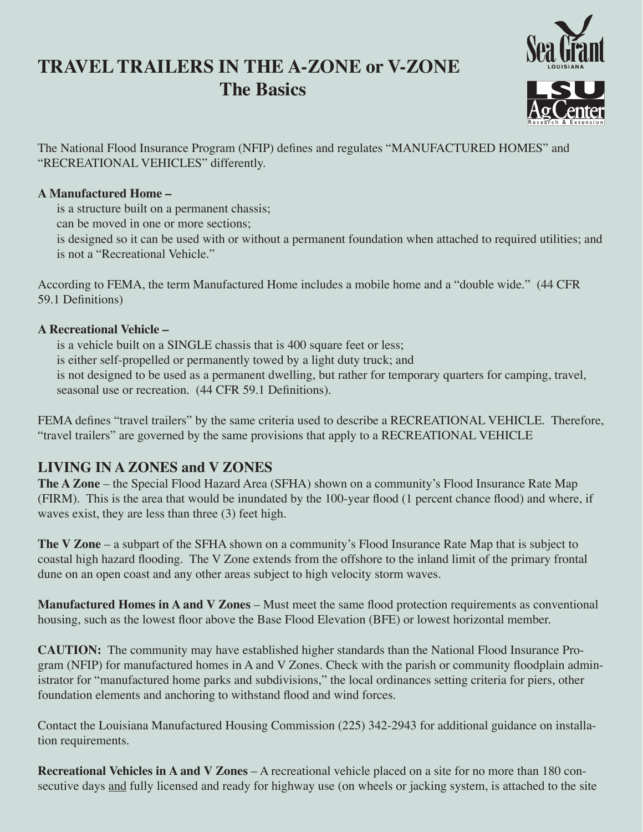# **TRAVEL TRAILERS IN THE A-ZONE or V-ZONE The Basics**



The National Flood Insurance Program (NFIP) defines and regulates "MANUFACTURED HOMES" and "RECREATIONAL VEHICLES" differently.

### **A Manufactured Home –**

is a structure built on a permanent chassis;

can be moved in one or more sections;

is designed so it can be used with or without a permanent foundation when attached to required utilities; and is not a "Recreational Vehicle."

According to FEMA, the term Manufactured Home includes a mobile home and a "double wide." (44 CFR 59.1 Definitions)

### **A Recreational Vehicle –**

is a vehicle built on a SINGLE chassis that is 400 square feet or less; is either self-propelled or permanently towed by a light duty truck; and is not designed to be used as a permanent dwelling, but rather for temporary quarters for camping, travel, seasonal use or recreation. (44 CFR 59.1 Definitions).

FEMA defines "travel trailers" by the same criteria used to describe a RECREATIONAL VEHICLE. Therefore, "travel trailers" are governed by the same provisions that apply to a RECREATIONAL VEHICLE

# **LIVING IN A ZONES and V ZONES**

**The A Zone** – the Special Flood Hazard Area (SFHA) shown on a community's Flood Insurance Rate Map (FIRM). This is the area that would be inundated by the 100-year flood (1 percent chance flood) and where, if waves exist, they are less than three (3) feet high.

**The V Zone** – a subpart of the SFHA shown on a community's Flood Insurance Rate Map that is subject to coastal high hazard flooding. The V Zone extends from the offshore to the inland limit of the primary frontal dune on an open coast and any other areas subject to high velocity storm waves.

**Manufactured Homes in A and V Zones** – Must meet the same flood protection requirements as conventional housing, such as the lowest floor above the Base Flood Elevation (BFE) or lowest horizontal member.

**CAUTION:** The community may have established higher standards than the National Flood Insurance Program (NFIP) for manufactured homes in A and V Zones. Check with the parish or community floodplain administrator for "manufactured home parks and subdivisions," the local ordinances setting criteria for piers, other foundation elements and anchoring to withstand flood and wind forces.

Contact the Louisiana Manufactured Housing Commission (225) 342-2943 for additional guidance on installation requirements.

**Recreational Vehicles in A and V Zones** – A recreational vehicle placed on a site for no more than 180 consecutive days and fully licensed and ready for highway use (on wheels or jacking system, is attached to the site